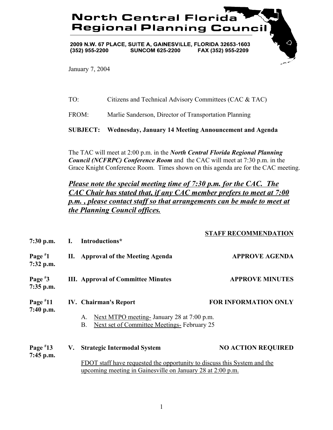## **North Central Florida Regional Planning Council**

2009 N.W. 67 PLACE, SUITE A, GAINESVILLE, FLORIDA 32653-1603  $(352)$  955-2200 **SUNCOM 625-2200** FAX (352) 955-2209

January 7, 2004

TO: Citizens and Technical Advisory Committees (CAC & TAC)

FROM: Marlie Sanderson, Director of Transportation Planning

**SUBJECT: Wednesday, January 14 Meeting Announcement and Agenda**

The TAC will meet at 2:00 p.m. in the *North Central Florida Regional Planning Council (NCFRPC) Conference Room* and the CAC will meet at 7:30 p.m. in the Grace Knight Conference Room. Times shown on this agenda are for the CAC meeting.

*Please note the special meeting time of 7:30 p.m. for the CAC. The CAC Chair has stated that, if any CAC member prefers to meet at 7:00 p.m. , please contact staff so that arrangements can be made to meet at the Planning Council offices.*

**STAFF RECOMMENDATION**

| $7:30$ p.m.             | L. | Introductions*                                                                                                                                                                      | STAFF RECOMMENDATION        |
|-------------------------|----|-------------------------------------------------------------------------------------------------------------------------------------------------------------------------------------|-----------------------------|
| Page $*1$<br>7:32 p.m.  | П. | <b>Approval of the Meeting Agenda</b>                                                                                                                                               | <b>APPROVE AGENDA</b>       |
| Page $*3$<br>7:35 p.m.  |    | <b>III.</b> Approval of Committee Minutes                                                                                                                                           | <b>APPROVE MINUTES</b>      |
| Page $*11$<br>7:40 p.m. |    | <b>IV.</b> Chairman's Report<br>Next MTPO meeting-January 28 at 7:00 p.m.<br>A.<br>Next set of Committee Meetings- February 25<br>B.                                                | <b>FOR INFORMATION ONLY</b> |
| Page $*13$<br>7:45 p.m. | V. | <b>Strategic Intermodal System</b><br><b>FDOT</b> staff have requested the opportunity to discuss this System and the<br>upcoming meeting in Gainesville on January 28 at 2:00 p.m. | <b>NO ACTION REQUIRED</b>   |